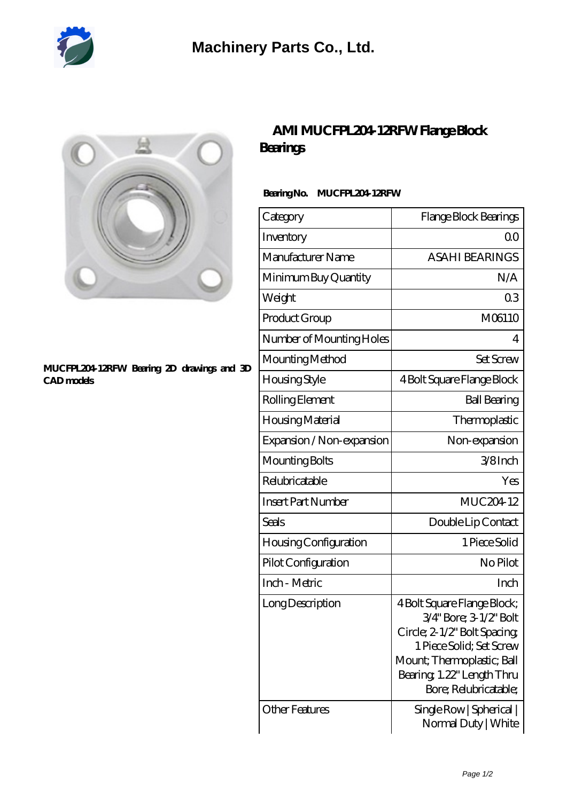



## **[MUCFPL204-12RFW Bearing 2D drawings and 3D](https://m.diours.com/pic-379772.html) [CAD models](https://m.diours.com/pic-379772.html)**

## **[AMI MUCFPL204-12RFW Flange Block](https://m.diours.com/ami-mucfpl204-12rfw-bearing/) [Bearings](https://m.diours.com/ami-mucfpl204-12rfw-bearing/)**

## **Bearing No. MUCFPL204-12RFW**

| Category                  | Flange Block Bearings                                                                                                                                                                                 |
|---------------------------|-------------------------------------------------------------------------------------------------------------------------------------------------------------------------------------------------------|
| Inventory                 | Q0                                                                                                                                                                                                    |
| Manufacturer Name         | <b>ASAHI BEARINGS</b>                                                                                                                                                                                 |
| Minimum Buy Quantity      | N/A                                                                                                                                                                                                   |
| Weight                    | 0 <sub>3</sub>                                                                                                                                                                                        |
| Product Group             | M06110                                                                                                                                                                                                |
| Number of Mounting Holes  | 4                                                                                                                                                                                                     |
| Mounting Method           | <b>Set Screw</b>                                                                                                                                                                                      |
| Housing Style             | 4 Bolt Square Flange Block                                                                                                                                                                            |
| Rolling Element           | <b>Ball Bearing</b>                                                                                                                                                                                   |
| Housing Material          | Thermoplastic                                                                                                                                                                                         |
| Expansion / Non-expansion | Non-expansion                                                                                                                                                                                         |
| Mounting Bolts            | 3/8Inch                                                                                                                                                                                               |
| Relubricatable            | Yes                                                                                                                                                                                                   |
| <b>Insert Part Number</b> | MUC204-12                                                                                                                                                                                             |
| Seals                     | Double Lip Contact                                                                                                                                                                                    |
| Housing Configuration     | 1 Piece Solid                                                                                                                                                                                         |
| Pilot Configuration       | No Pilot                                                                                                                                                                                              |
| Inch - Metric             | Inch                                                                                                                                                                                                  |
| Long Description          | 4 Bolt Square Flange Block;<br>3/4" Bore; 3-1/2" Bolt<br>Circle; 2-1/2" Bolt Spacing;<br>1 Piece Solid; Set Screw<br>Mount; Thermoplastic; Ball<br>Bearing 1.22" Length Thru<br>Bore; Relubricatable; |
| Other Features            | Single Row   Spherical  <br>Normal Duty   White                                                                                                                                                       |